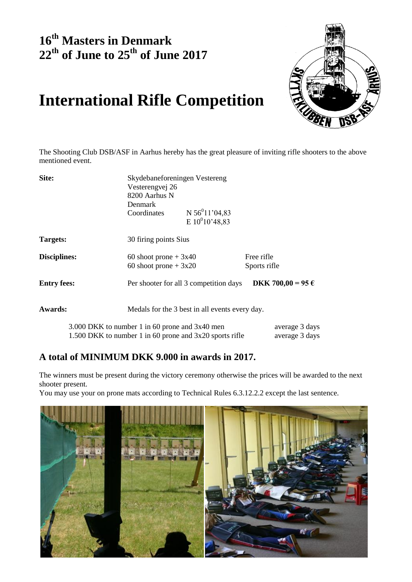## **16 th Masters in Denmark 22th of June to 25th of June 2017**



## **International Rifle Competition**

The Shooting Club DSB/ASF in Aarhus hereby has the great pleasure of inviting rifle shooters to the above mentioned event.

| Site:               | Skydebaneforeningen Vestereng                             |                                                |                   |  |  |  |
|---------------------|-----------------------------------------------------------|------------------------------------------------|-------------------|--|--|--|
|                     |                                                           | Vesterengvej 26<br>8200 Aarhus N               |                   |  |  |  |
|                     |                                                           |                                                |                   |  |  |  |
|                     | <b>Denmark</b>                                            |                                                |                   |  |  |  |
|                     | Coordinates                                               | N $56^011'04,83$                               |                   |  |  |  |
|                     |                                                           | E $10^{0}10'$ 48,83                            |                   |  |  |  |
| Targets:            |                                                           | 30 firing points Sius                          |                   |  |  |  |
| <b>Disciplines:</b> | 60 shoot prone $+3x40$                                    |                                                | Free rifle        |  |  |  |
|                     | 60 shoot prone $+3x20$                                    |                                                | Sports rifle      |  |  |  |
| <b>Entry fees:</b>  |                                                           | Per shooter for all 3 competition days         | DKK 700,00 = 95 € |  |  |  |
| <b>Awards:</b>      |                                                           | Medals for the 3 best in all events every day. |                   |  |  |  |
|                     | 3.000 DKK to number 1 in 60 prone and 3x40 men            |                                                | average 3 days    |  |  |  |
|                     | 1.500 DKK to number 1 in 60 prone and $3x20$ sports rifle |                                                | average 3 days    |  |  |  |

## **A total of MINIMUM DKK 9.000 in awards in 2017.**

The winners must be present during the victory ceremony otherwise the prices will be awarded to the next shooter present.

You may use your on prone mats according to Technical Rules 6.3.12.2.2 except the last sentence.